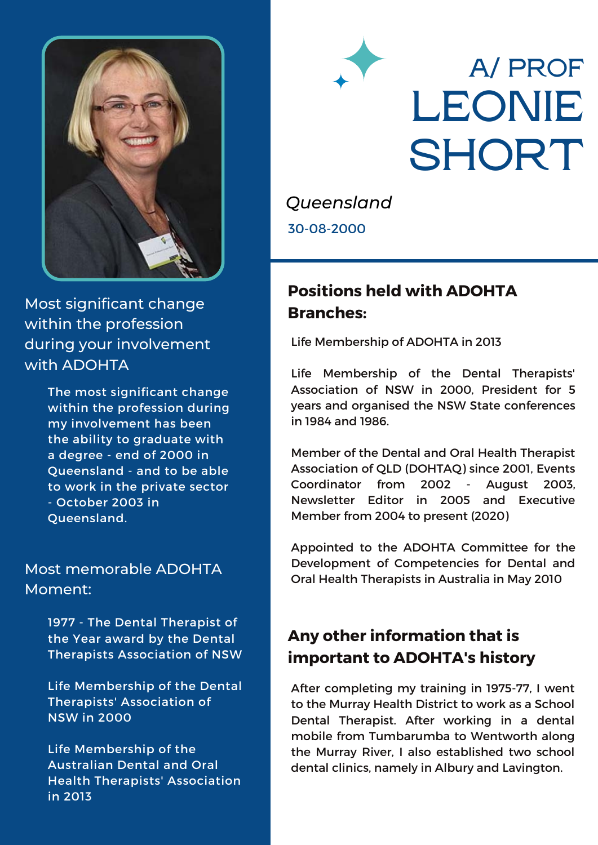

Most significant change within the profession during your involvement with ADOHTA

> The most significant change within the profession during my involvement has been the ability to graduate with a degree - end of 2000 in Queensland - and to be able to work in the private sector - October 2003 in Queensland.

#### Most memorable ADOHTA Moment:

1977 - The Dental Therapist of the Year award by the Dental Therapists Association of NSW

Life Membership of the Dental Therapists' Association of NSW in 2000

Life Membership of the Australian Dental and Oral Health Therapists' Association in 2013

# **A/ PROF LEONIE SHORT**

*Queensland* 30-08-2000

## **Positions held with ADOHTA Branches:**

Life Membership of ADOHTA in 2013

Life Membership of the Dental Therapists' Association of NSW in 2000, President for 5 years and organised the NSW State conferences in 1984 and 1986.

Member of the Dental and Oral Health Therapist Association of QLD (DOHTAQ) since 2001, Events Coordinator from 2002 - August 2003, Newsletter Editor in 2005 and Executive Member from 2004 to present (2020)

Appointed to the ADOHTA Committee for the Development of Competencies for Dental and Oral Health Therapists in Australia in May 2010

## **Any other information that is important to ADOHTA's history**

After completing my training in 1975-77, I went to the Murray Health District to work as a School Dental Therapist. After working in a dental mobile from Tumbarumba to Wentworth along the Murray River, I also established two school dental clinics, namely in Albury and Lavington.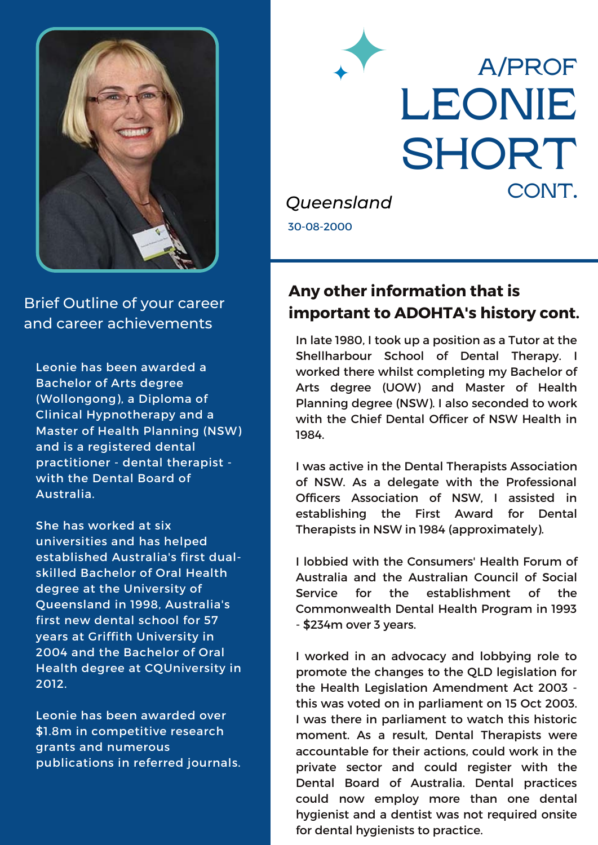

Brief Outline of your career and career achievements

Leonie has been awarded a Bachelor of Arts degree (Wollongong), a Diploma of Clinical Hypnotherapy and a Master of Health Planning (NSW) and is a registered dental practitioner - dental therapist with the Dental Board of Australia.

She has worked at six universities and has helped established Australia's first dualskilled Bachelor of Oral Health degree at the University of Queensland in 1998, Australia's first new dental school for 57 years at Griffith University in 2004 and the Bachelor of Oral Health degree at CQUniversity in 2012.

Leonie has been awarded over \$1.8m in competitive research grants and numerous publications in referred journals.



#### **Any other information that is important to ADOHTA's history cont.**

In late 1980, I took up a position as a Tutor at the Shellharbour School of Dental Therapy. I worked there whilst completing my Bachelor of Arts degree (UOW) and Master of Health Planning degree (NSW). I also seconded to work with the Chief Dental Officer of NSW Health in 1984.

I was active in the Dental Therapists Association of NSW. As a delegate with the Professional Officers Association of NSW, I assisted in establishing the First Award for Dental Therapists in NSW in 1984 (approximately).

I lobbied with the Consumers' Health Forum of Australia and the Australian Council of Social Service for the establishment of the Commonwealth Dental Health Program in 1993 - \$234m over 3 years.

I worked in an advocacy and lobbying role to promote the changes to the QLD legislation for the Health Legislation Amendment Act 2003 this was voted on in parliament on 15 Oct 2003. I was there in parliament to watch this historic moment. As a result, Dental Therapists were accountable for their actions, could work in the private sector and could register with the Dental Board of Australia. Dental practices could now employ more than one dental hygienist and a dentist was not required onsite for dental hygienists to practice.